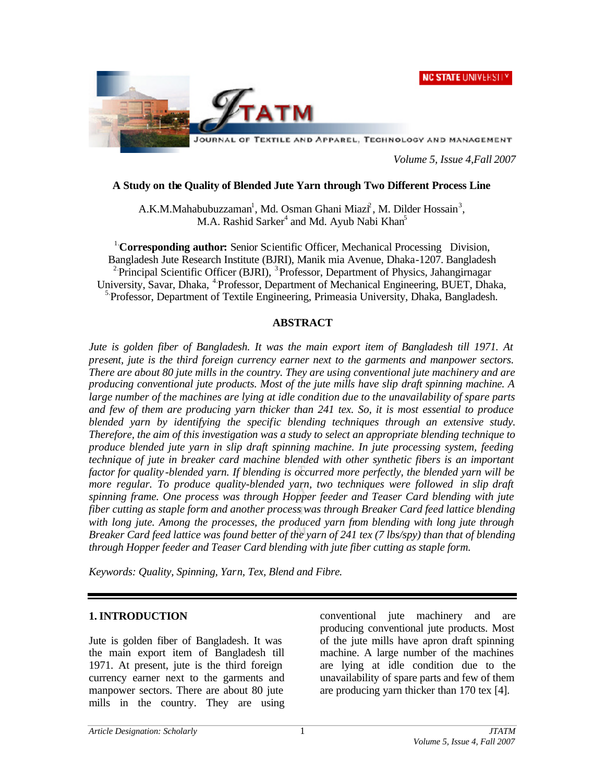



JOURNAL OF TEXTILE AND APPAREL, TECHNOLOGY AND MANAGEMENT

*Volume 5, Issue 4,Fall 2007*

### **A Study on the Quality of Blended Jute Yarn through Two Different Process Line**

A.K.M.Mahabubuzzaman<sup>1</sup>, Md. Osman Ghani Miazi<sup>2</sup>, M. Dilder Hossain<sup>3</sup>, M.A. Rashid Sarker<sup>4</sup> and Md. Ayub Nabi Khan<sup>5</sup>

1.**Corresponding author:** Senior Scientific Officer, Mechanical Processing Division, Bangladesh Jute Research Institute (BJRI), Manik mia Avenue, Dhaka-1207. Bangladesh <sup>2</sup> Principal Scientific Officer (BJRI), <sup>3</sup> Professor, Department of Physics, Jahangirnagar University, Savar, Dhaka, 4.Professor, Department of Mechanical Engineering, BUET, Dhaka, <sup>5</sup> Professor, Department of Textile Engineering, Primeasia University, Dhaka, Bangladesh.

#### **ABSTRACT**

*Jute is golden fiber of Bangladesh. It was the main export item of Bangladesh till 1971. At present, jute is the third foreign currency earner next to the garments and manpower sectors. There are about 80 jute mills in the country. They are using conventional jute machinery and are producing conventional jute products. Most of the jute mills have slip draft spinning machine. A large number of the machines are lying at idle condition due to the unavailability of spare parts and few of them are producing yarn thicker than 241 tex. So, it is most essential to produce blended yarn by identifying the specific blending techniques through an extensive study. Therefore, the aim of this investigation was a study to select an appropriate blending technique to produce blended jute yarn in slip draft spinning machine. In jute processing system, feeding technique of jute in breaker card machine blended with other synthetic fibers is an important factor for quality -blended yarn. If blending is occurred more perfectly, the blended yarn will be more regular. To produce quality-blended yarn, two techniques were followed in slip draft spinning frame. One process was through Hopper feeder and Teaser Card blending with jute fiber cutting as staple form and another process was through Breaker Card feed lattice blending with long jute. Among the processes, the produced yarn from blending with long jute through Breaker Card feed lattice was found better of the yarn of 241 tex (7 lbs/spy) than that of blending through Hopper feeder and Teaser Card blending with jute fiber cutting as staple form.* 

*Keywords: Quality, Spinning, Yarn, Tex, Blend and Fibre.*

#### **1. INTRODUCTION**

Jute is golden fiber of Bangladesh. It was the main export item of Bangladesh till 1971. At present, jute is the third foreign currency earner next to the garments and manpower sectors. There are about 80 jute mills in the country. They are using

conventional jute machinery and are producing conventional jute products. Most of the jute mills have apron draft spinning machine. A large number of the machines are lying at idle condition due to the unavailability of spare parts and few of them are producing yarn thicker than 170 tex [4].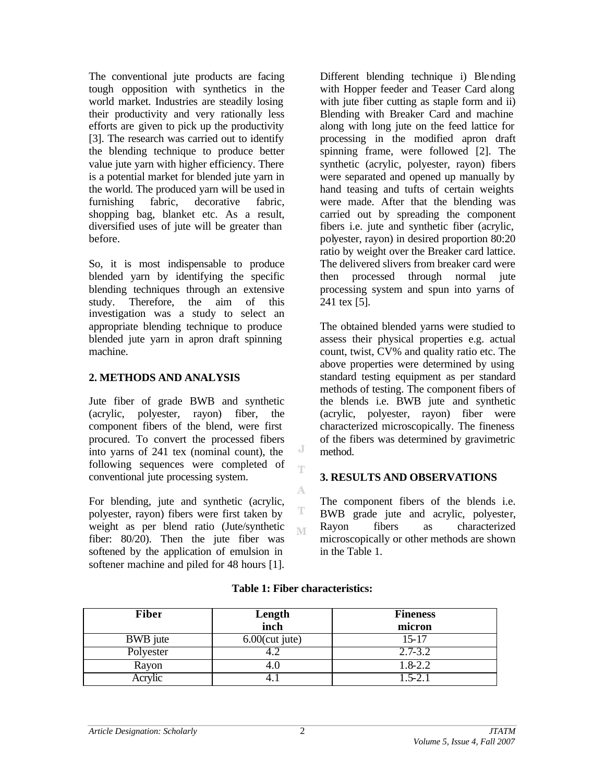The conventional jute products are facing tough opposition with synthetics in the world market. Industries are steadily losing their productivity and very rationally less efforts are given to pick up the productivity [3]. The research was carried out to identify the blending technique to produce better value jute yarn with higher efficiency. There is a potential market for blended jute yarn in the world. The produced yarn will be used in furnishing fabric, decorative fabric, shopping bag, blanket etc. As a result, diversified uses of jute will be greater than before.

So, it is most indispensable to produce blended yarn by identifying the specific blending techniques through an extensive study. Therefore, the aim of this investigation was a study to select an appropriate blending technique to produce blended jute yarn in apron draft spinning machine.

# **2. METHODS AND ANALYSIS**

Jute fiber of grade BWB and synthetic (acrylic, polyester, rayon) fiber, the component fibers of the blend, were first procured. To convert the processed fibers into yarns of 241 tex (nominal count), the following sequences were completed of conventional jute processing system.

For blending, jute and synthetic (acrylic, polyester, rayon) fibers were first taken by weight as per blend ratio (Jute/synthetic fiber: 80/20). Then the jute fiber was softened by the application of emulsion in softener machine and piled for 48 hours [1]. Different blending technique i) Blending with Hopper feeder and Teaser Card along with jute fiber cutting as staple form and ii) Blending with Breaker Card and machine along with long jute on the feed lattice for processing in the modified apron draft spinning frame, were followed [2]. The synthetic (acrylic, polyester, rayon) fibers were separated and opened up manually by hand teasing and tufts of certain weights were made. After that the blending was carried out by spreading the component fibers i.e. jute and synthetic fiber (acrylic, polyester, rayon) in desired proportion 80:20 ratio by weight over the Breaker card lattice. The delivered slivers from breaker card were then processed through normal jute processing system and spun into yarns of 241 tex [5].

The obtained blended yarns were studied to assess their physical properties e.g. actual count, twist, CV% and quality ratio etc. The above properties were determined by using standard testing equipment as per standard methods of testing. The component fibers of the blends i.e. BWB jute and synthetic (acrylic, polyester, rayon) fiber were characterized microscopically. The fineness of the fibers was determined by gravimetric method.

# **3. RESULTS AND OBSERVATIONS**

The component fibers of the blends i.e. BWB grade jute and acrylic, polyester, Rayon fibers as characterized microscopically or other methods are shown in the Table 1.

| <b>Fiber</b> | Length<br>inch    | <b>Fineness</b><br>micron |  |  |  |
|--------------|-------------------|---------------------------|--|--|--|
| BWB jute     | $6.00$ (cut jute) | $15 - 17$                 |  |  |  |
| Polyester    |                   | $2.7 - 3.2$               |  |  |  |
| Rayon        | 4.U               | 1.8-2.2                   |  |  |  |
| Acrylic      |                   | $1.5 - 2.1$               |  |  |  |

# **Table 1: Fiber characteristics:**

J T

A

T M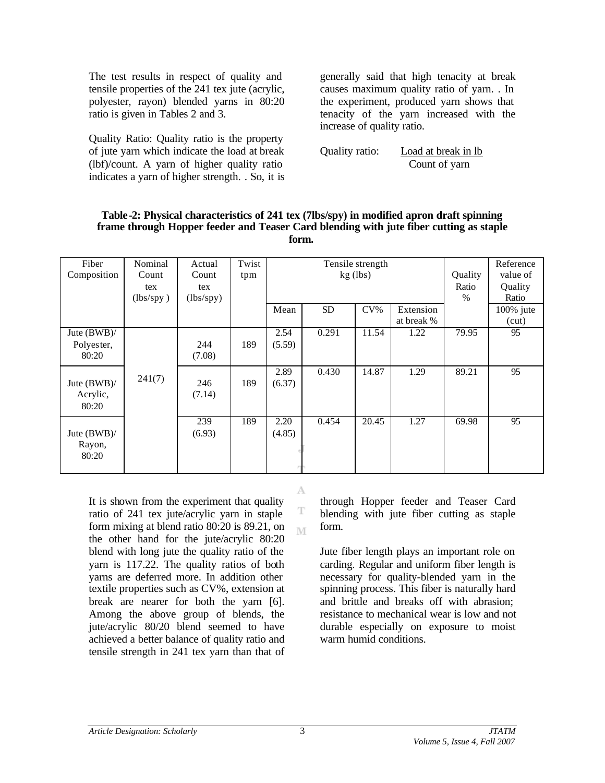The test results in respect of quality and tensile properties of the 241 tex jute (acrylic, polyester, rayon) blended yarns in 80:20 ratio is given in Tables 2 and 3.

Quality Ratio: Quality ratio is the property of jute yarn which indicate the load at break (lbf)/count. A yarn of higher quality ratio indicates a yarn of higher strength. . So, it is generally said that high tenacity at break causes maximum quality ratio of yarn. . In the experiment, produced yarn shows that tenacity of the yarn increased with the increase of quality ratio.

Quality ratio: Load at break in lb Count of yarn

| Fiber          | Nominal   | Actual    | Twist | Tensile strength |           |        |            | Reference |              |
|----------------|-----------|-----------|-------|------------------|-----------|--------|------------|-----------|--------------|
| Composition    | Count     | Count     | tpm   | $kg$ (lbs)       |           |        | Quality    | value of  |              |
|                | tex       | tex       |       |                  |           |        | Ratio      | Quality   |              |
|                | (lbs/spy) | (lbs/spy) |       |                  |           |        |            | $\%$      | Ratio        |
|                |           |           |       | Mean             | <b>SD</b> | $CV\%$ | Extension  |           | $100\%$ jute |
|                |           |           |       |                  |           |        | at break % |           | (cut)        |
|                |           |           |       |                  |           |        |            |           |              |
| Jute $(BWB)$ / |           |           |       | 2.54             | 0.291     | 11.54  | 1.22       | 79.95     | 95           |
| Polyester,     |           | 244       | 189   | (5.59)           |           |        |            |           |              |
| 80:20          |           | (7.08)    |       |                  |           |        |            |           |              |
|                |           |           |       |                  |           |        |            |           |              |
|                |           |           |       | 2.89             | 0.430     | 14.87  | 1.29       | 89.21     | 95           |
| Jute (BWB)/    | 241(7)    | 246       | 189   | (6.37)           |           |        |            |           |              |
| Acrylic,       |           | (7.14)    |       |                  |           |        |            |           |              |
| 80:20          |           |           |       |                  |           |        |            |           |              |
|                |           |           |       |                  |           |        |            |           |              |
|                |           | 239       | 189   | 2.20             | 0.454     | 20.45  | 1.27       | 69.98     | 95           |
| Jute $(BWB)$   |           | (6.93)    |       | (4.85)           |           |        |            |           |              |
|                |           |           |       |                  |           |        |            |           |              |
| Rayon,         |           |           |       |                  |           |        |            |           |              |
| 80:20          |           |           |       |                  |           |        |            |           |              |
|                |           |           |       |                  |           |        |            |           |              |

A

T M

#### **Table -2: Physical characteristics of 241 tex (7lbs/spy) in modified apron draft spinning frame through Hopper feeder and Teaser Card blending with jute fiber cutting as staple form.**

It is shown from the experiment that quality ratio of 241 tex jute/acrylic yarn in staple form mixing at blend ratio 80:20 is 89.21, on the other hand for the jute/acrylic 80:20 blend with long jute the quality ratio of the yarn is 117.22. The quality ratios of both yarns are deferred more. In addition other textile properties such as CV%, extension at break are nearer for both the yarn [6]. Among the above group of blends, the jute/acrylic 80/20 blend seemed to have achieved a better balance of quality ratio and tensile strength in 241 tex yarn than that of

through Hopper feeder and Teaser Card blending with jute fiber cutting as staple form.

Jute fiber length plays an important role on carding. Regular and uniform fiber length is necessary for quality-blended yarn in the spinning process. This fiber is naturally hard and brittle and breaks off with abrasion; resistance to mechanical wear is low and not durable especially on exposure to moist warm humid conditions.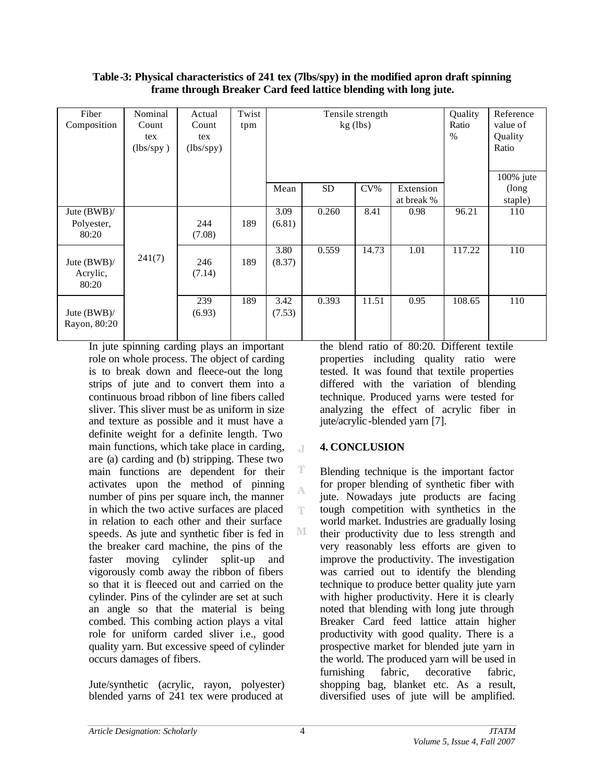| Table -3: Physical characteristics of 241 tex (7lbs/spy) in the modified apron draft spinning |
|-----------------------------------------------------------------------------------------------|
| frame through Breaker Card feed lattice blending with long jute.                              |

| Fiber<br>Composition               | Nominal<br>Count<br>tex<br>(lbs/spy) | Actual<br>Count<br>tex<br>(lbs/spy) | Twist<br>tpm | Tensile strength<br>$kg$ (lbs) |           |        |                         | Quality<br>Ratio<br>$\%$ | Reference<br>value of<br>Quality<br>Ratio |
|------------------------------------|--------------------------------------|-------------------------------------|--------------|--------------------------------|-----------|--------|-------------------------|--------------------------|-------------------------------------------|
|                                    |                                      |                                     |              | Mean                           | <b>SD</b> | $CV\%$ | Extension<br>at break % |                          | $100\%$ jute<br>(long)<br>staple)         |
| Jute (BWB)/<br>Polyester,<br>80:20 |                                      | 244<br>(7.08)                       | 189          | 3.09<br>(6.81)                 | 0.260     | 8.41   | 0.98                    | 96.21                    | 110                                       |
| Jute (BWB)/<br>Acrylic,<br>80:20   | 241(7)                               | 246<br>(7.14)                       | 189          | 3.80<br>(8.37)                 | 0.559     | 14.73  | 1.01                    | 117.22                   | 110                                       |
| Jute $(BWB)$ /<br>Rayon, 80:20     |                                      | 239<br>(6.93)                       | 189          | 3.42<br>(7.53)                 | 0.393     | 11.51  | 0.95                    | 108.65                   | 110                                       |

 $\mathbb{I}$ 

T A

T

M

In jute spinning carding plays an important role on whole process. The object of carding is to break down and fleece-out the long strips of jute and to convert them into a continuous broad ribbon of line fibers called sliver. This sliver must be as uniform in size and texture as possible and it must have a definite weight for a definite length. Two main functions, which take place in carding, are (a) carding and (b) stripping. These two main functions are dependent for their activates upon the method of pinning number of pins per square inch, the manner in which the two active surfaces are placed in relation to each other and their surface speeds. As jute and synthetic fiber is fed in the breaker card machine, the pins of the faster moving cylinder split-up and vigorously comb away the ribbon of fibers so that it is fleeced out and carried on the cylinder. Pins of the cylinder are set at such an angle so that the material is being combed. This combing action plays a vital role for uniform carded sliver i.e., good quality yarn. But excessive speed of cylinder occurs damages of fibers.

Jute/synthetic (acrylic, rayon, polyester) blended yarns of 241 tex were produced at

the blend ratio of 80:20. Different textile properties including quality ratio were tested. It was found that textile properties differed with the variation of blending technique. Produced yarns were tested for analyzing the effect of acrylic fiber in jute/acrylic-blended yarn [7].

# **4. CONCLUSION**

Blending technique is the important factor for proper blending of synthetic fiber with jute. Nowadays jute products are facing tough competition with synthetics in the world market. Industries are gradually losing their productivity due to less strength and very reasonably less efforts are given to improve the productivity. The investigation was carried out to identify the blending technique to produce better quality jute yarn with higher productivity. Here it is clearly noted that blending with long jute through Breaker Card feed lattice attain higher productivity with good quality. There is a prospective market for blended jute yarn in the world. The produced yarn will be used in furnishing fabric, decorative fabric, shopping bag, blanket etc. As a result, diversified uses of jute will be amplified.